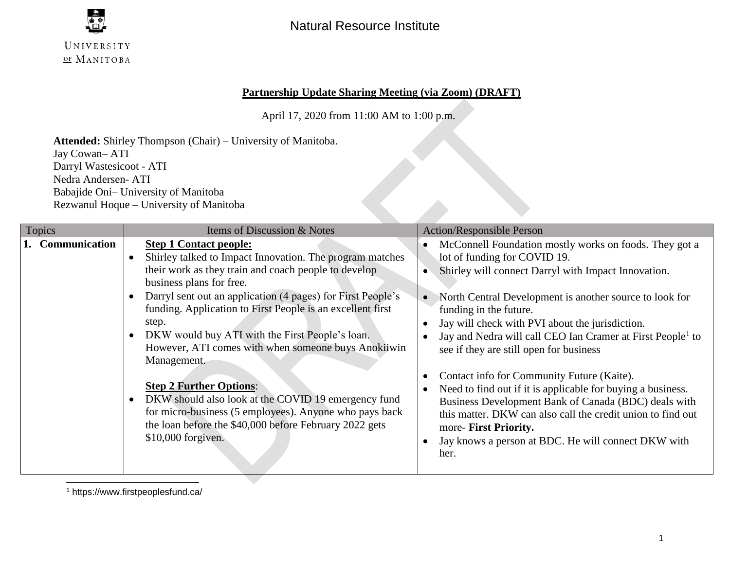

## **Partnership Update Sharing Meeting (via Zoom) (DRAFT)**

April 17, 2020 from 11:00 AM to 1:00 p.m.

**Attended:** Shirley Thompson (Chair) – University of Manitoba. Jay Cowan– ATI Darryl Wastesicoot - ATI Nedra Andersen- ATI Babajide Oni– University of Manitoba Rezwanul Hoque – University of Manitoba

| <b>Topics</b>    | Items of Discussion & Notes                                                                                                                                                                                                                                                                                                                                                                                                                                                                                                                                                                                                                                                      | <b>Action/Responsible Person</b>                                                                                                                                                                                                                                                                                                                                                                                                                                                                                                                                                                                                                                                                                               |
|------------------|----------------------------------------------------------------------------------------------------------------------------------------------------------------------------------------------------------------------------------------------------------------------------------------------------------------------------------------------------------------------------------------------------------------------------------------------------------------------------------------------------------------------------------------------------------------------------------------------------------------------------------------------------------------------------------|--------------------------------------------------------------------------------------------------------------------------------------------------------------------------------------------------------------------------------------------------------------------------------------------------------------------------------------------------------------------------------------------------------------------------------------------------------------------------------------------------------------------------------------------------------------------------------------------------------------------------------------------------------------------------------------------------------------------------------|
| 1. Communication | <b>Step 1 Contact people:</b><br>Shirley talked to Impact Innovation. The program matches<br>their work as they train and coach people to develop<br>business plans for free.<br>Darryl sent out an application (4 pages) for First People's<br>funding. Application to First People is an excellent first<br>step.<br>DKW would buy ATI with the First People's loan.<br>However, ATI comes with when someone buys Anokiiwin<br>Management.<br><b>Step 2 Further Options:</b><br>DKW should also look at the COVID 19 emergency fund<br>for micro-business (5 employees). Anyone who pays back<br>the loan before the \$40,000 before February 2022 gets<br>$$10,000$ forgiven. | McConnell Foundation mostly works on foods. They got a<br>lot of funding for COVID 19.<br>Shirley will connect Darryl with Impact Innovation.<br>North Central Development is another source to look for<br>funding in the future.<br>Jay will check with PVI about the jurisdiction.<br>Jay and Nedra will call CEO Ian Cramer at First People <sup>1</sup> to<br>see if they are still open for business<br>Contact info for Community Future (Kaite).<br>Need to find out if it is applicable for buying a business.<br>Business Development Bank of Canada (BDC) deals with<br>this matter. DKW can also call the credit union to find out<br>more- First Priority.<br>Jay knows a person at BDC. He will connect DKW with |
|                  |                                                                                                                                                                                                                                                                                                                                                                                                                                                                                                                                                                                                                                                                                  | her.                                                                                                                                                                                                                                                                                                                                                                                                                                                                                                                                                                                                                                                                                                                           |

l <sup>1</sup> https://www.firstpeoplesfund.ca/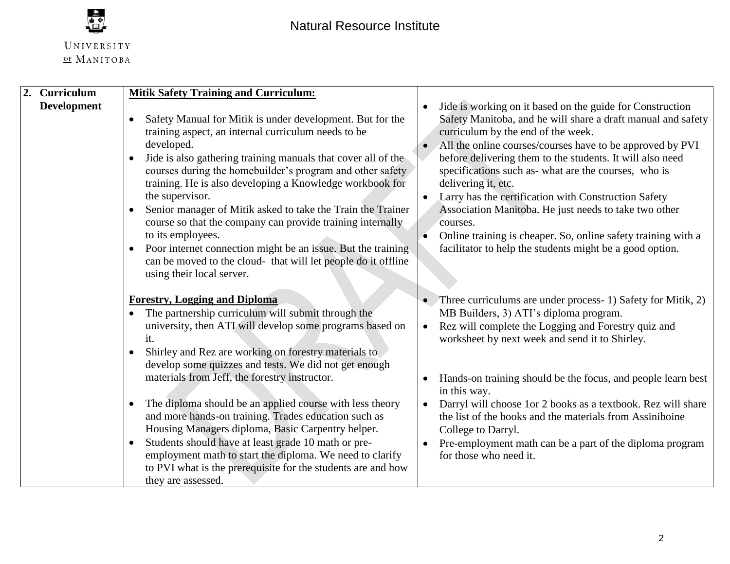

| 2. Curriculum                                                                                         | <b>Mitik Safety Training and Curriculum:</b>                                                                                                                                                                                                                                                                                                                                                                                                                                                                                                                             |                                                                                                                                                                                                                                                                                                                                                                                                                                                                                                                                                                                                                                                |
|-------------------------------------------------------------------------------------------------------|--------------------------------------------------------------------------------------------------------------------------------------------------------------------------------------------------------------------------------------------------------------------------------------------------------------------------------------------------------------------------------------------------------------------------------------------------------------------------------------------------------------------------------------------------------------------------|------------------------------------------------------------------------------------------------------------------------------------------------------------------------------------------------------------------------------------------------------------------------------------------------------------------------------------------------------------------------------------------------------------------------------------------------------------------------------------------------------------------------------------------------------------------------------------------------------------------------------------------------|
| <b>Development</b><br>developed.<br>the supervisor.<br>to its employees.<br>using their local server. | Safety Manual for Mitik is under development. But for the<br>training aspect, an internal curriculum needs to be<br>Jide is also gathering training manuals that cover all of the<br>courses during the homebuilder's program and other safety<br>training. He is also developing a Knowledge workbook for<br>Senior manager of Mitik asked to take the Train the Trainer<br>course so that the company can provide training internally<br>Poor internet connection might be an issue. But the training<br>can be moved to the cloud- that will let people do it offline | Jide is working on it based on the guide for Construction<br>Safety Manitoba, and he will share a draft manual and safety<br>curriculum by the end of the week.<br>All the online courses/courses have to be approved by PVI<br>before delivering them to the students. It will also need<br>specifications such as-what are the courses, who is<br>delivering it, etc.<br>Larry has the certification with Construction Safety<br>$\bullet$<br>Association Manitoba. He just needs to take two other<br>courses.<br>Online training is cheaper. So, online safety training with a<br>facilitator to help the students might be a good option. |
| <b>Forestry, Logging and Diploma</b><br>$\bullet$<br>it.<br>$\bullet$                                 | The partnership curriculum will submit through the<br>university, then ATI will develop some programs based on<br>Shirley and Rez are working on forestry materials to<br>develop some quizzes and tests. We did not get enough                                                                                                                                                                                                                                                                                                                                          | • Three curriculums are under process- 1) Safety for Mitik, 2)<br>MB Builders, 3) ATI's diploma program.<br>Rez will complete the Logging and Forestry quiz and<br>worksheet by next week and send it to Shirley.                                                                                                                                                                                                                                                                                                                                                                                                                              |
| they are assessed.                                                                                    | materials from Jeff, the forestry instructor.<br>The diploma should be an applied course with less theory<br>and more hands-on training. Trades education such as<br>Housing Managers diploma, Basic Carpentry helper.<br>Students should have at least grade 10 math or pre-<br>employment math to start the diploma. We need to clarify<br>to PVI what is the prerequisite for the students are and how                                                                                                                                                                | Hands-on training should be the focus, and people learn best<br>in this way.<br>Darryl will choose 1or 2 books as a textbook. Rez will share<br>the list of the books and the materials from Assiniboine<br>College to Darryl.<br>Pre-employment math can be a part of the diploma program<br>for those who need it.                                                                                                                                                                                                                                                                                                                           |